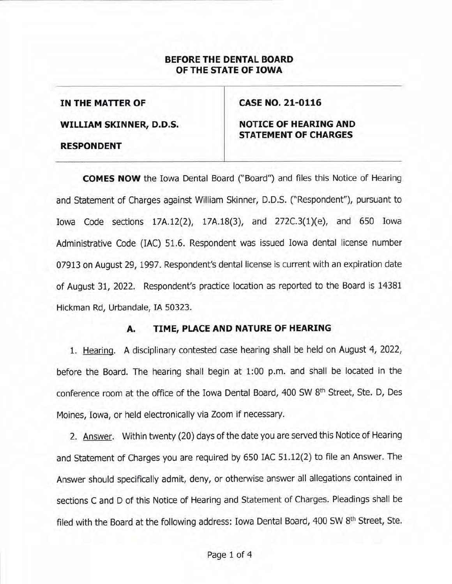## BEFORE THE DENTAL BOARD OF THE STATE OF IOWA

IN THE MATTER OF

cAsE NO. 21-0116

WILLIAM SKINNER, D.D.S.

RESPONDENT

# NOTICE OF HEARING AND STATEMENT OF CHARGES

COMES NOW the Iowa Dental Board ("Board") and files this Notice of Hearing and Statement of Charges against William Skinner, D.D.S. ("Respondent"), pursuant to Iowa Code sections 17A.I2(2), 17A.18(3), and 272C.3(L)(e), and 650 Iowa Administrative Code (IAC) 51.6. Respondent was issued Iowa dental license number 07913 on August 29, 1997. Respondent's dental license is current with an expiration date of August 31,2022. Respondent's practice location as reported to the Board is 14381 Hickman Rd, Urbandale, IA 50323.

## A. TIME, PLACE AND NATURE OF HEARING

1. Hearing. A disciplinary contested case hearing shall be held on August 4, 2022, before the Board. The hearing shall begin at 1:00 p.m. and shall be located in the conference room at the office of the Iowa Dental Board, 400 SW 8th Street, Ste. D, Des Moines, Iowa, or held electronically via Zoom if necessary.

2. Answer. Within twenty (20) days of the date you are serued this Notice of Hearing and Statement of Charges you are required by 650 IAC 51.12(2) to file an Answer. The Answer should specifically admit, deny, or otherwise answer all allegations contained in sections C and D of this Notice of Hearing and Statement of Charges. Pleadings shall be filed with the Board at the following address: Iowa Dental Board, 400 SW 8<sup>th</sup> Street, Ste.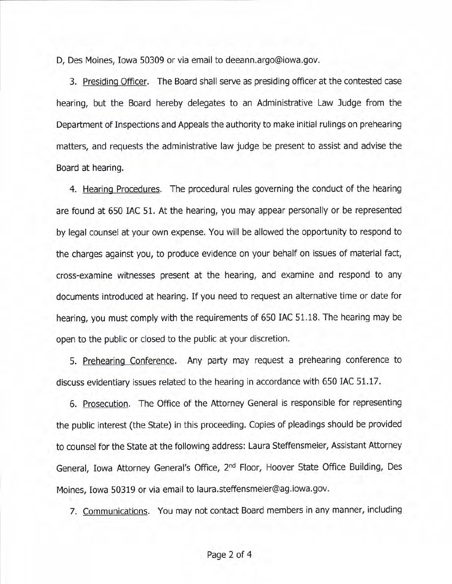D, Des Moines, Iowa 50309 or via email to deeann.argo@iowa.gov.

3. Presidinq Officer. The Board shall serve as presiding officer at the contested case hearing, but the Board hereby delegates to an Administrative Law Judge from the Department of Inspections and Appeals the authority to make initial rulings on prehearing matters, and requests the administrative law judge be present to assist and advise the Board at hearing.

4. Hearing Procedures. The procedural rules governing the conduct of the hearing are found at 650 IAC 51. At the hearing, you may appear personally or be represented by legal counsel at your own expense. You will be allowed the opportunity to respond to the charges against you, to produce evidence on your behalf on issues of material fact, cross-examine witnesses present at the hearing, and examine and respond to any documents introduced at hearing. If you need to request an alternative time or date for hearing, you must comply with the requirements of 650 IAC 51.18. The hearing may be open to the public or closed to the public at your discretion.

5. Prehearing Conference. Any party may request a prehearing conference to discuss evidentiary issues related to the hearing in accordance with 650 IAC 51.17.

6. Prosecution. The Office of the Attorney General is responsible for representing the public interest (the State) in this proceeding. Copies of pleadings should be provided to counsel for the State at the following address: Laura Steffensmeier, Assistant Attorney General, Iowa Attorney General's Office, 2nd Floor, Hoover State Office Building, Des Moines, Iowa 50319 or via email to laura.steffensmeier@ag.iowa.gov.

7. Communications. You may not contact Board members in any manner, including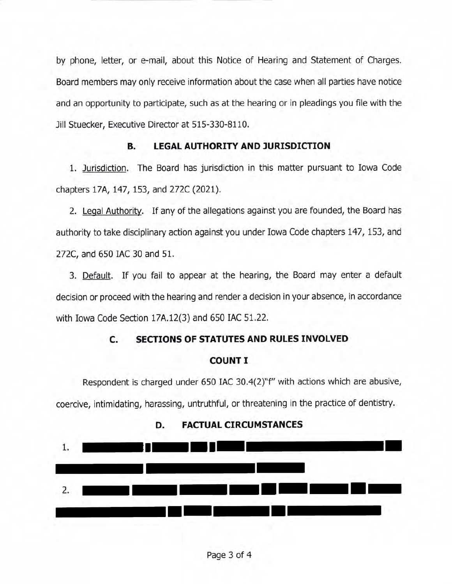by phone, letter, or e-mail, about this Notice of Hearing and Statement of Charges. Board members may only receive information about the case when all parties have notice and an opportunity to participate, such as at the hearing or in pleadings you file with the Jill Stuecker, Executive Director at 515-330-8110.

## **B. LEGAL AUTHORITY AND JURISDICTION**

1. Jurisdiction. The Board has jurisdiction in this matter pursuant to Iowa Code chapters 17A, 147, 153, and 272C (2021).

2. Legal Authority. If any of the allegations against you are founded, the Board has authority to take disciplinary action against you under Iowa Code chapters 147, 153, and 272C, and 650 IAC 30 and 51.

3. Default. If you fail to appear at the hearing, the Board may enter a default decision or proceed with the hearing and render a decision in your absence, in accordance with Iowa Code Section 17A.12(3) and 650 IAC 51.22.

# C. SECTIONS OF STATUTES AND RULES INVOLVED

#### COUNT I

Respondent is charged under 650 IAC 30.4(2)"f" with actions which are abusive, coercive, intimidating, harassing, untruthful, or threatening in the practice of dentistry.



#### D. FACTUAL CIRCUMSTANCES

Page 3 of 4